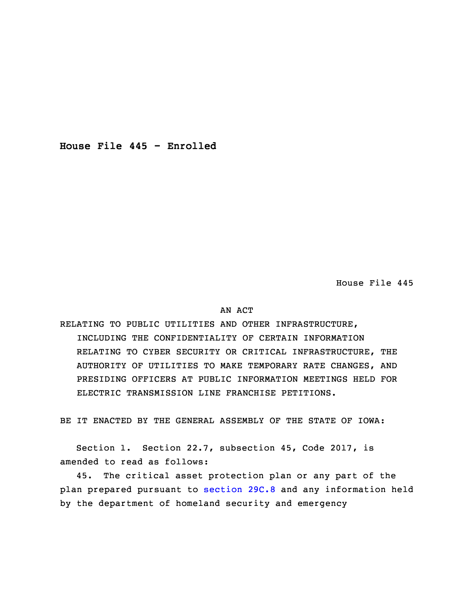**House File 445 - Enrolled**

House File 445

## AN ACT

RELATING TO PUBLIC UTILITIES AND OTHER INFRASTRUCTURE, INCLUDING THE CONFIDENTIALITY OF CERTAIN INFORMATION RELATING TO CYBER SECURITY OR CRITICAL INFRASTRUCTURE, THE AUTHORITY OF UTILITIES TO MAKE TEMPORARY RATE CHANGES, AND PRESIDING OFFICERS AT PUBLIC INFORMATION MEETINGS HELD FOR ELECTRIC TRANSMISSION LINE FRANCHISE PETITIONS.

BE IT ENACTED BY THE GENERAL ASSEMBLY OF THE STATE OF IOWA:

Section 1. Section 22.7, subsection 45, Code 2017, is amended to read as follows:

45. The critical asset protection plan or any part of the plan prepared pursuant to [section](https://www.legis.iowa.gov/docs/code/2017/29C.8.pdf) 29C.8 and any information held by the department of homeland security and emergency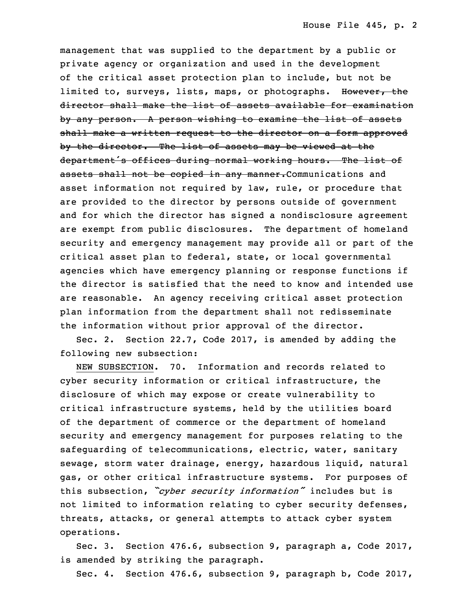management that was supplied to the department by <sup>a</sup> public or private agency or organization and used in the development of the critical asset protection plan to include, but not be limited to, surveys, lists, maps, or photographs. However, the director shall make the list of assets available for examination by any person. A person wishing to examine the list of assets shall make a written request to the director on a form approved by the director. The list of assets may be viewed at the department's offices during normal working hours. The list of assets shall not be copied in any manner. Communications and asset information not required by law, rule, or procedure that are provided to the director by persons outside of government and for which the director has signed a nondisclosure agreement are exempt from public disclosures. The department of homeland security and emergency management may provide all or part of the critical asset plan to federal, state, or local governmental agencies which have emergency planning or response functions if the director is satisfied that the need to know and intended use are reasonable. An agency receiving critical asset protection plan information from the department shall not redisseminate the information without prior approval of the director.

 Sec. 2. Section 22.7, Code 2017, is amended by adding the following new subsection:

 NEW SUBSECTION. 70. Information and records related to cyber security information or critical infrastructure, the disclosure of which may expose or create vulnerability to critical infrastructure systems, held by the utilities board of the department of commerce or the department of homeland security and emergency management for purposes relating to the safeguarding of telecommunications, electric, water, sanitary sewage, storm water drainage, energy, hazardous liquid, natural gas, or other critical infrastructure systems. For purposes of <sup>33</sup> this subsection, *"cyber security information"* includes but is not limited to information relating to cyber security defenses, threats, attacks, or general attempts to attack cyber system operations.

Sec. 3. Section 476.6, subsection 9, paragraph a, Code 2017, is amended by striking the paragraph.

Sec. 4. Section 476.6, subsection 9, paragraph b, Code 2017,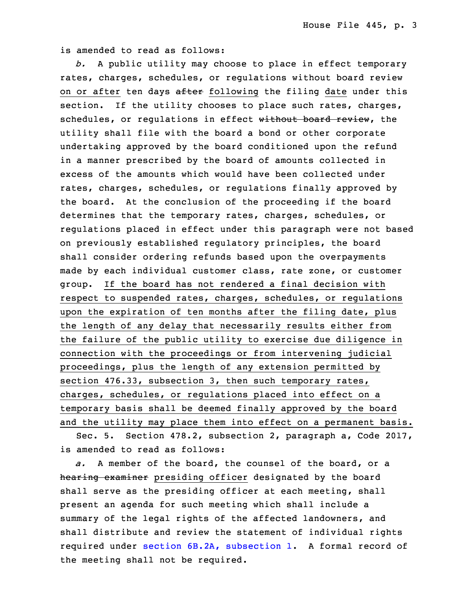is amended to read as follows:

 *b.* <sup>A</sup> public utility may choose to place in effect temporary rates, charges, schedules, or regulations without board review on or after ten days after following the filing date under this section. If the utility chooses to place such rates, charges, schedules, or requlations in effect without board review, the utility shall file with the board a bond or other corporate undertaking approved by the board conditioned upon the refund in a manner prescribed by the board of amounts collected in excess of the amounts which would have been collected under rates, charges, schedules, or regulations finally approved by the board. At the conclusion of the proceeding if the board determines that the temporary rates, charges, schedules, or regulations placed in effect under this paragraph were not based on previously established regulatory principles, the board shall consider ordering refunds based upon the overpayments made by each individual customer class, rate zone, or customer group. If the board has not rendered a final decision with respect to suspended rates, charges, schedules, or regulations upon the expiration of ten months after the filing date, plus the length of any delay that necessarily results either from the failure of the public utility to exercise due diligence in connection with the proceedings or from intervening judicial proceedings, plus the length of any extension permitted by section 476.33, subsection 3, then such temporary rates, charges, schedules, or regulations placed into effect on a temporary basis shall be deemed finally approved by the board and the utility may place them into effect on a permanent basis.

Sec. 5. Section 478.2, subsection 2, paragraph a, Code 2017, is amended to read as follows:

31 *a.* A member of the board, the counsel of the board, or <sup>a</sup> hearing examiner presiding officer designated by the board shall serve as the presiding officer at each meeting, shall present an agenda for such meeting which shall include a summary of the legal rights of the affected landowners, and shall distribute and review the statement of individual rights required under section 6B.2A, [subsection](https://www.legis.iowa.gov/docs/code/2017/6B.2A.pdf) 1. A formal record of the meeting shall not be required.